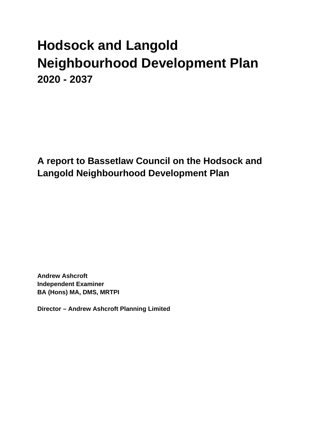# **Hodsock and Langold Neighbourhood Development Plan 2020 - 2037**

**A report to Bassetlaw Council on the Hodsock and Langold Neighbourhood Development Plan**

**Andrew Ashcroft Independent Examiner BA (Hons) MA, DMS, MRTPI**

**Director – Andrew Ashcroft Planning Limited**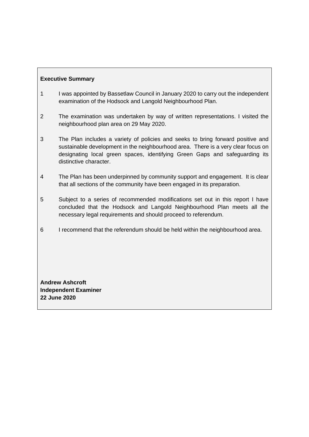# **Executive Summary**

- 1 I was appointed by Bassetlaw Council in January 2020 to carry out the independent examination of the Hodsock and Langold Neighbourhood Plan.
- 2 The examination was undertaken by way of written representations. I visited the neighbourhood plan area on 29 May 2020.
- 3 The Plan includes a variety of policies and seeks to bring forward positive and sustainable development in the neighbourhood area. There is a very clear focus on designating local green spaces, identifying Green Gaps and safeguarding its distinctive character.
- 4 The Plan has been underpinned by community support and engagement. It is clear that all sections of the community have been engaged in its preparation.
- 5 Subject to a series of recommended modifications set out in this report I have concluded that the Hodsock and Langold Neighbourhood Plan meets all the necessary legal requirements and should proceed to referendum.
- 6 I recommend that the referendum should be held within the neighbourhood area.

**Andrew Ashcroft Independent Examiner 22 June 2020**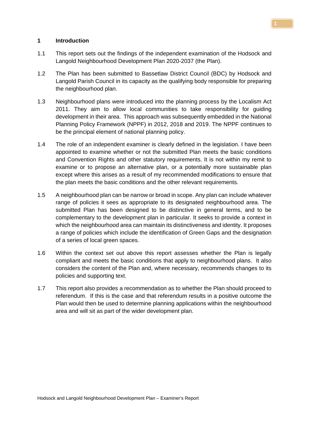#### **1 Introduction**

- 1.1 This report sets out the findings of the independent examination of the Hodsock and Langold Neighbourhood Development Plan 2020-2037 (the Plan).
- 1.2 The Plan has been submitted to Bassetlaw District Council (BDC) by Hodsock and Langold Parish Council in its capacity as the qualifying body responsible for preparing the neighbourhood plan.
- 1.3 Neighbourhood plans were introduced into the planning process by the Localism Act 2011. They aim to allow local communities to take responsibility for guiding development in their area. This approach was subsequently embedded in the National Planning Policy Framework (NPPF) in 2012, 2018 and 2019. The NPPF continues to be the principal element of national planning policy.
- 1.4 The role of an independent examiner is clearly defined in the legislation. I have been appointed to examine whether or not the submitted Plan meets the basic conditions and Convention Rights and other statutory requirements. It is not within my remit to examine or to propose an alternative plan, or a potentially more sustainable plan except where this arises as a result of my recommended modifications to ensure that the plan meets the basic conditions and the other relevant requirements.
- 1.5 A neighbourhood plan can be narrow or broad in scope. Any plan can include whatever range of policies it sees as appropriate to its designated neighbourhood area. The submitted Plan has been designed to be distinctive in general terms, and to be complementary to the development plan in particular. It seeks to provide a context in which the neighbourhood area can maintain its distinctiveness and identity. It proposes a range of policies which include the identification of Green Gaps and the designation of a series of local green spaces.
- 1.6 Within the context set out above this report assesses whether the Plan is legally compliant and meets the basic conditions that apply to neighbourhood plans. It also considers the content of the Plan and, where necessary, recommends changes to its policies and supporting text.
- 1.7 This report also provides a recommendation as to whether the Plan should proceed to referendum. If this is the case and that referendum results in a positive outcome the Plan would then be used to determine planning applications within the neighbourhood area and will sit as part of the wider development plan.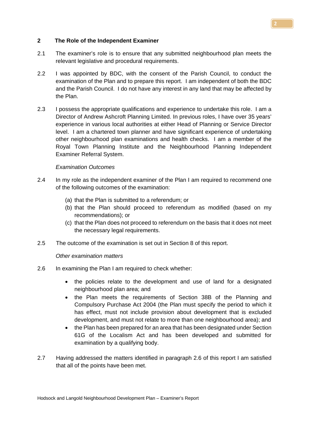#### **2 The Role of the Independent Examiner**

- 2.1 The examiner's role is to ensure that any submitted neighbourhood plan meets the relevant legislative and procedural requirements.
- 2.2 I was appointed by BDC, with the consent of the Parish Council, to conduct the examination of the Plan and to prepare this report. I am independent of both the BDC and the Parish Council. I do not have any interest in any land that may be affected by the Plan.
- 2.3 I possess the appropriate qualifications and experience to undertake this role. I am a Director of Andrew Ashcroft Planning Limited. In previous roles, I have over 35 years' experience in various local authorities at either Head of Planning or Service Director level. I am a chartered town planner and have significant experience of undertaking other neighbourhood plan examinations and health checks. I am a member of the Royal Town Planning Institute and the Neighbourhood Planning Independent Examiner Referral System.

#### *Examination Outcomes*

- 2.4 In my role as the independent examiner of the Plan I am required to recommend one of the following outcomes of the examination:
	- (a) that the Plan is submitted to a referendum; or
	- (b) that the Plan should proceed to referendum as modified (based on my recommendations); or
	- (c) that the Plan does not proceed to referendum on the basis that it does not meet the necessary legal requirements.
- 2.5 The outcome of the examination is set out in Section 8 of this report.

#### *Other examination matters*

- 2.6 In examining the Plan I am required to check whether:
	- the policies relate to the development and use of land for a designated neighbourhood plan area; and
	- the Plan meets the requirements of Section 38B of the Planning and Compulsory Purchase Act 2004 (the Plan must specify the period to which it has effect, must not include provision about development that is excluded development, and must not relate to more than one neighbourhood area); and
	- the Plan has been prepared for an area that has been designated under Section 61G of the Localism Act and has been developed and submitted for examination by a qualifying body.
- 2.7 Having addressed the matters identified in paragraph 2.6 of this report I am satisfied that all of the points have been met.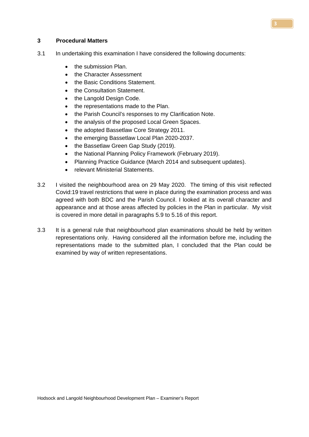#### **3 Procedural Matters**

- 3.1 In undertaking this examination I have considered the following documents:
	- the submission Plan.
	- the Character Assessment
	- the Basic Conditions Statement.
	- the Consultation Statement.
	- the Langold Design Code.
	- the representations made to the Plan.
	- the Parish Council's responses to my Clarification Note.
	- the analysis of the proposed Local Green Spaces.
	- the adopted Bassetlaw Core Strategy 2011.
	- the emerging Bassetlaw Local Plan 2020-2037.
	- the Bassetlaw Green Gap Study (2019).
	- the National Planning Policy Framework (February 2019).
	- Planning Practice Guidance (March 2014 and subsequent updates).
	- relevant Ministerial Statements.
- 3.2 I visited the neighbourhood area on 29 May 2020. The timing of this visit reflected Covid:19 travel restrictions that were in place during the examination process and was agreed with both BDC and the Parish Council. I looked at its overall character and appearance and at those areas affected by policies in the Plan in particular. My visit is covered in more detail in paragraphs 5.9 to 5.16 of this report.
- 3.3 It is a general rule that neighbourhood plan examinations should be held by written representations only. Having considered all the information before me, including the representations made to the submitted plan, I concluded that the Plan could be examined by way of written representations.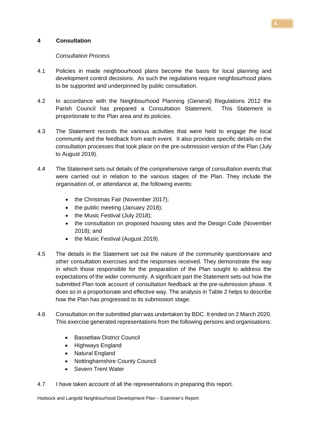# **4 Consultation**

# *Consultation Process*

- 4.1 Policies in made neighbourhood plans become the basis for local planning and development control decisions. As such the regulations require neighbourhood plans to be supported and underpinned by public consultation.
- 4.2 In accordance with the Neighbourhood Planning (General) Regulations 2012 the Parish Council has prepared a Consultation Statement. This Statement is proportionate to the Plan area and its policies.
- 4.3 The Statement records the various activities that were held to engage the local community and the feedback from each event. It also provides specific details on the consultation processes that took place on the pre-submission version of the Plan (July to August 2019).
- 4.4 The Statement sets out details of the comprehensive range of consultation events that were carried out in relation to the various stages of the Plan. They include the organisation of, or attendance at, the following events:
	- the Christmas Fair (November 2017);
	- the public meeting (January 2018):
	- the Music Festival (July 2018);
	- the consultation on proposed housing sites and the Design Code (November 2018); and
	- the Music Festival (August 2019).
- 4.5 The details in the Statement set out the nature of the community questionnaire and other consultation exercises and the responses received. They demonstrate the way in which those responsible for the preparation of the Plan sought to address the expectations of the wider community. A significant part the Statement sets out how the submitted Plan took account of consultation feedback at the pre-submission phase. It does so in a proportionate and effective way. The analysis in Table 2 helps to describe how the Plan has progressed to its submission stage.
- 4.6 Consultation on the submitted plan was undertaken by BDC. It ended on 2 March 2020. This exercise generated representations from the following persons and organisations:
	- Bassetlaw District Council
	- Highways England
	- Natural England
	- Nottinghamshire County Council
	- Severn Trent Water
- 4.7 I have taken account of all the representations in preparing this report.

Hodsock and Langold Neighbourhood Development Plan – Examiner's Report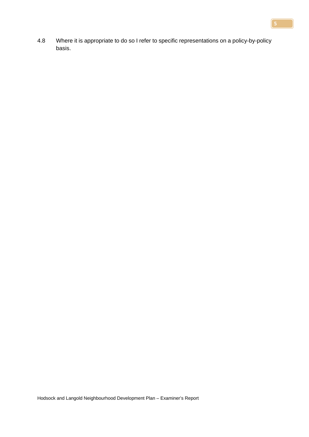4.8 Where it is appropriate to do so I refer to specific representations on a policy-by-policy basis.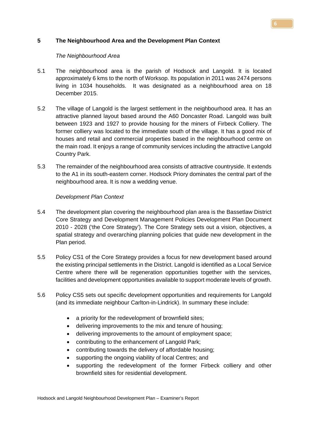# **5 The Neighbourhood Area and the Development Plan Context**

## *The Neighbourhood Area*

- 5.1 The neighbourhood area is the parish of Hodsock and Langold. It is located approximately 6 kms to the north of Worksop. Its population in 2011 was 2474 persons living in 1034 households. It was designated as a neighbourhood area on 18 December 2015.
- 5.2 The village of Langold is the largest settlement in the neighbourhood area. It has an attractive planned layout based around the A60 Doncaster Road. Langold was built between 1923 and 1927 to provide housing for the miners of Firbeck Colliery. The former colliery was located to the immediate south of the village. It has a good mix of houses and retail and commercial properties based in the neighbourhood centre on the main road. It enjoys a range of community services including the attractive Langold Country Park.
- 5.3 The remainder of the neighbourhood area consists of attractive countryside. It extends to the A1 in its south-eastern corner. Hodsock Priory dominates the central part of the neighbourhood area. It is now a wedding venue.

## *Development Plan Context*

- 5.4 The development plan covering the neighbourhood plan area is the Bassetlaw District Core Strategy and Development Management Policies Development Plan Document 2010 - 2028 ('the Core Strategy'). The [Core Strategy](http://molevalley-consult.limehouse.co.uk/portal/cs/cs_-_adopted_oct_2009/core_strategy_-_adopted_october_2009_1?pointId=906692) sets out a vision, objectives, a spatial strategy and overarching planning policies that guide new development in the Plan period.
- 5.5 Policy CS1 of the Core Strategy provides a focus for new development based around the existing principal settlements in the District. Langold is identified as a Local Service Centre where there will be regeneration opportunities together with the services, facilities and development opportunities available to support moderate levels of growth.
- 5.6 Policy CS5 sets out specific development opportunities and requirements for Langold (and its immediate neighbour Carlton-in-Lindrick). In summary these include:
	- a priority for the redevelopment of brownfield sites;
	- delivering improvements to the mix and tenure of housing;
	- delivering improvements to the amount of employment space;
	- contributing to the enhancement of Langold Park;
	- contributing towards the delivery of affordable housing;
	- supporting the ongoing viability of local Centres; and
	- supporting the redevelopment of the former Firbeck colliery and other brownfield sites for residential development.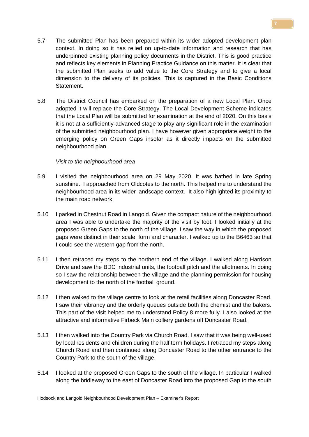- 5.7 The submitted Plan has been prepared within its wider adopted development plan context. In doing so it has relied on up-to-date information and research that has underpinned existing planning policy documents in the District. This is good practice and reflects key elements in Planning Practice Guidance on this matter. It is clear that the submitted Plan seeks to add value to the Core Strategy and to give a local dimension to the delivery of its policies. This is captured in the Basic Conditions Statement.
- 5.8 The District Council has embarked on the preparation of a new Local Plan. Once adopted it will replace the Core Strategy. The Local Development Scheme indicates that the Local Plan will be submitted for examination at the end of 2020. On this basis it is not at a sufficiently-advanced stage to play any significant role in the examination of the submitted neighbourhood plan. I have however given appropriate weight to the emerging policy on Green Gaps insofar as it directly impacts on the submitted neighbourhood plan.

## *Visit to the neighbourhood area*

- 5.9 I visited the neighbourhood area on 29 May 2020. It was bathed in late Spring sunshine. I approached from Oldcotes to the north. This helped me to understand the neighbourhood area in its wider landscape context. It also highlighted its proximity to the main road network.
- 5.10 I parked in Chestnut Road in Langold. Given the compact nature of the neighbourhood area I was able to undertake the majority of the visit by foot. I looked initially at the proposed Green Gaps to the north of the village. I saw the way in which the proposed gaps were distinct in their scale, form and character. I walked up to the B6463 so that I could see the western gap from the north.
- 5.11 I then retraced my steps to the northern end of the village. I walked along Harrison Drive and saw the BDC industrial units, the football pitch and the allotments. In doing so I saw the relationship between the village and the planning permission for housing development to the north of the football ground.
- 5.12 I then walked to the village centre to look at the retail facilities along Doncaster Road. I saw their vibrancy and the orderly queues outside both the chemist and the bakers. This part of the visit helped me to understand Policy 8 more fully. I also looked at the attractive and informative Firbeck Main colliery gardens off Doncaster Road.
- 5.13 I then walked into the Country Park via Church Road. I saw that it was being well-used by local residents and children during the half term holidays. I retraced my steps along Church Road and then continued along Doncaster Road to the other entrance to the Country Park to the south of the village.
- 5.14 I looked at the proposed Green Gaps to the south of the village. In particular I walked along the bridleway to the east of Doncaster Road into the proposed Gap to the south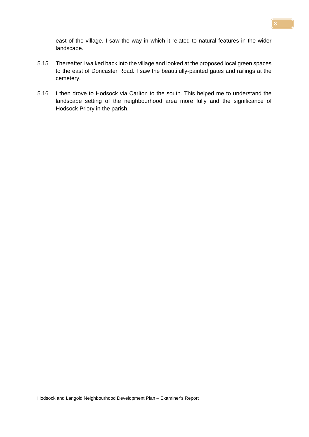east of the village. I saw the way in which it related to natural features in the wider landscape.

- 5.15 Thereafter I walked back into the village and looked at the proposed local green spaces to the east of Doncaster Road. I saw the beautifully-painted gates and railings at the cemetery.
- 5.16 I then drove to Hodsock via Carlton to the south. This helped me to understand the landscape setting of the neighbourhood area more fully and the significance of Hodsock Priory in the parish.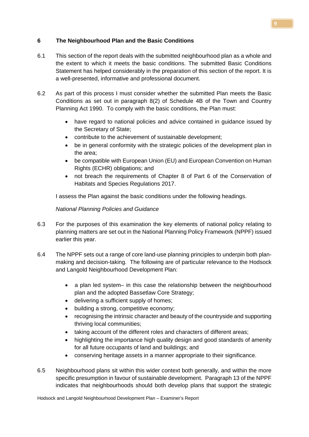# **6 The Neighbourhood Plan and the Basic Conditions**

- 6.1 This section of the report deals with the submitted neighbourhood plan as a whole and the extent to which it meets the basic conditions. The submitted Basic Conditions Statement has helped considerably in the preparation of this section of the report. It is a well-presented, informative and professional document.
- 6.2 As part of this process I must consider whether the submitted Plan meets the Basic Conditions as set out in paragraph 8(2) of Schedule 4B of the Town and Country Planning Act 1990. To comply with the basic conditions, the Plan must:
	- have regard to national policies and advice contained in guidance issued by the Secretary of State;
	- contribute to the achievement of sustainable development;
	- be in general conformity with the strategic policies of the development plan in the area;
	- be compatible with European Union (EU) and European Convention on Human Rights (ECHR) obligations; and
	- not breach the requirements of Chapter 8 of Part 6 of the Conservation of Habitats and Species Regulations 2017.

I assess the Plan against the basic conditions under the following headings.

# *National Planning Policies and Guidance*

- 6.3 For the purposes of this examination the key elements of national policy relating to planning matters are set out in the National Planning Policy Framework (NPPF) issued earlier this year.
- 6.4 The NPPF sets out a range of core land-use planning principles to underpin both planmaking and decision-taking. The following are of particular relevance to the Hodsock and Langold Neighbourhood Development Plan:
	- a plan led system– in this case the relationship between the neighbourhood plan and the adopted Bassetlaw Core Strategy;
	- delivering a sufficient supply of homes;
	- building a strong, competitive economy;
	- recognising the intrinsic character and beauty of the countryside and supporting thriving local communities;
	- taking account of the different roles and characters of different areas;
	- highlighting the importance high quality design and good standards of amenity for all future occupants of land and buildings; and
	- conserving heritage assets in a manner appropriate to their significance.
- 6.5 Neighbourhood plans sit within this wider context both generally, and within the more specific presumption in favour of sustainable development. Paragraph 13 of the NPPF indicates that neighbourhoods should both develop plans that support the strategic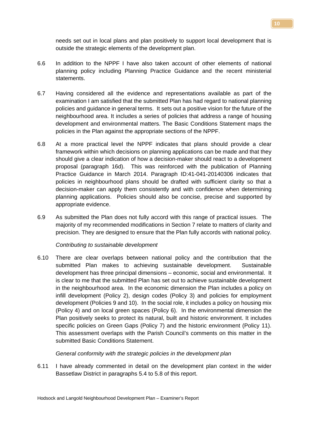needs set out in local plans and plan positively to support local development that is outside the strategic elements of the development plan.

- 6.6 In addition to the NPPF I have also taken account of other elements of national planning policy including Planning Practice Guidance and the recent ministerial statements.
- 6.7 Having considered all the evidence and representations available as part of the examination I am satisfied that the submitted Plan has had regard to national planning policies and guidance in general terms. It sets out a positive vision for the future of the neighbourhood area. It includes a series of policies that address a range of housing development and environmental matters. The Basic Conditions Statement maps the policies in the Plan against the appropriate sections of the NPPF.
- 6.8 At a more practical level the NPPF indicates that plans should provide a clear framework within which decisions on planning applications can be made and that they should give a clear indication of how a decision-maker should react to a development proposal (paragraph 16d). This was reinforced with the publication of Planning Practice Guidance in March 2014. Paragraph ID:41-041-20140306 indicates that policies in neighbourhood plans should be drafted with sufficient clarity so that a decision-maker can apply them consistently and with confidence when determining planning applications. Policies should also be concise, precise and supported by appropriate evidence.
- 6.9 As submitted the Plan does not fully accord with this range of practical issues. The majority of my recommended modifications in Section 7 relate to matters of clarity and precision. They are designed to ensure that the Plan fully accords with national policy.

## *Contributing to sustainable development*

6.10 There are clear overlaps between national policy and the contribution that the submitted Plan makes to achieving sustainable development. Sustainable development has three principal dimensions – economic, social and environmental. It is clear to me that the submitted Plan has set out to achieve sustainable development in the neighbourhood area. In the economic dimension the Plan includes a policy on infill development (Policy 2), design codes (Policy 3) and policies for employment development (Policies 9 and 10). In the social role, it includes a policy on housing mix (Policy 4) and on local green spaces (Policy 6). In the environmental dimension the Plan positively seeks to protect its natural, built and historic environment. It includes specific policies on Green Gaps (Policy 7) and the historic environment (Policy 11). This assessment overlaps with the Parish Council's comments on this matter in the submitted Basic Conditions Statement.

#### *General conformity with the strategic policies in the development plan*

6.11 I have already commented in detail on the development plan context in the wider Bassetlaw District in paragraphs 5.4 to 5.8 of this report.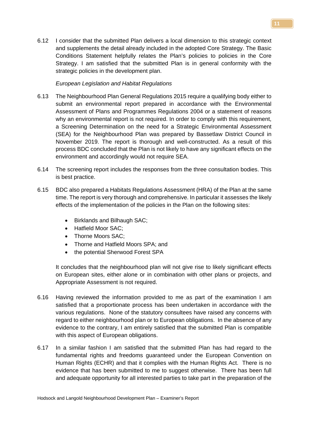6.12 I consider that the submitted Plan delivers a local dimension to this strategic context and supplements the detail already included in the adopted Core Strategy. The Basic Conditions Statement helpfully relates the Plan's policies to policies in the Core Strategy. I am satisfied that the submitted Plan is in general conformity with the strategic policies in the development plan.

# *European Legislation and Habitat Regulations*

- 6.13 The Neighbourhood Plan General Regulations 2015 require a qualifying body either to submit an environmental report prepared in accordance with the Environmental Assessment of Plans and Programmes Regulations 2004 or a statement of reasons why an environmental report is not required. In order to comply with this requirement, a Screening Determination on the need for a Strategic Environmental Assessment (SEA) for the Neighbourhood Plan was prepared by Bassetlaw District Council in November 2019. The report is thorough and well-constructed. As a result of this process BDC concluded that the Plan is not likely to have any significant effects on the environment and accordingly would not require SEA.
- 6.14 The screening report includes the responses from the three consultation bodies. This is best practice.
- 6.15 BDC also prepared a Habitats Regulations Assessment (HRA) of the Plan at the same time. The report is very thorough and comprehensive. In particular it assesses the likely effects of the implementation of the policies in the Plan on the following sites:
	- Birklands and Bilhaugh SAC;
	- Hatfield Moor SAC;
	- Thorne Moors SAC:
	- Thorne and Hatfield Moors SPA; and
	- the potential Sherwood Forest SPA

It concludes that the neighbourhood plan will not give rise to likely significant effects on European sites, either alone or in combination with other plans or projects, and Appropriate Assessment is not required.

- 6.16 Having reviewed the information provided to me as part of the examination I am satisfied that a proportionate process has been undertaken in accordance with the various regulations. None of the statutory consultees have raised any concerns with regard to either neighbourhood plan or to European obligations. In the absence of any evidence to the contrary, I am entirely satisfied that the submitted Plan is compatible with this aspect of European obligations.
- 6.17 In a similar fashion I am satisfied that the submitted Plan has had regard to the fundamental rights and freedoms guaranteed under the European Convention on Human Rights (ECHR) and that it complies with the Human Rights Act. There is no evidence that has been submitted to me to suggest otherwise. There has been full and adequate opportunity for all interested parties to take part in the preparation of the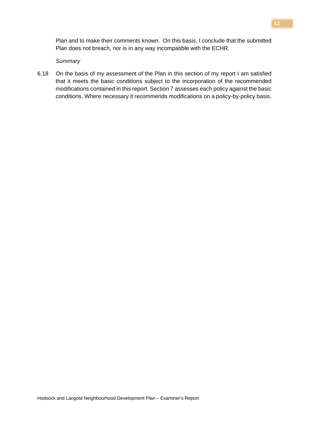Plan and to make their comments known. On this basis, I conclude that the submitted Plan does not breach, nor is in any way incompatible with the ECHR.

#### *Summary*

6.18 On the basis of my assessment of the Plan in this section of my report I am satisfied that it meets the basic conditions subject to the incorporation of the recommended modifications contained in this report. Section 7 assesses each policy against the basic conditions. Where necessary it recommends modifications on a policy-by-policy basis.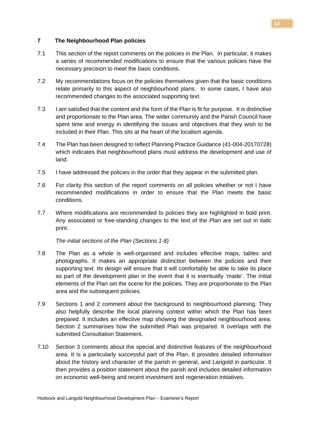#### **7 The Neighbourhood Plan policies**

- 7.1 This section of the report comments on the policies in the Plan. In particular, it makes a series of recommended modifications to ensure that the various policies have the necessary precision to meet the basic conditions.
- 7.2 My recommendations focus on the policies themselves given that the basic conditions relate primarily to this aspect of neighbourhood plans. In some cases, I have also recommended changes to the associated supporting text.
- 7.3 I am satisfied that the content and the form of the Plan is fit for purpose. It is distinctive and proportionate to the Plan area. The wider community and the Parish Council have spent time and energy in identifying the issues and objectives that they wish to be included in their Plan. This sits at the heart of the localism agenda.
- 7.4 The Plan has been designed to reflect Planning Practice Guidance (41-004-20170728) which indicates that neighbourhood plans must address the development and use of land.
- 7.5 I have addressed the policies in the order that they appear in the submitted plan.
- 7.6 For clarity this section of the report comments on all policies whether or not I have recommended modifications in order to ensure that the Plan meets the basic conditions.
- 7.7 Where modifications are recommended to policies they are highlighted in bold print. Any associated or free-standing changes to the text of the Plan are set out in italic print.

*The initial sections of the Plan (Sections 1-8)*

- 7.8 The Plan as a whole is well-organised and includes effective maps, tables and photographs. It makes an appropriate distinction between the policies and their supporting text. Its design will ensure that it will comfortably be able to take its place as part of the development plan in the event that it is eventually 'made'. The initial elements of the Plan set the scene for the policies. They are proportionate to the Plan area and the subsequent policies.
- 7.9 Sections 1 and 2 comment about the background to neighbourhood planning. They also helpfully describe the local planning context within which the Plan has been prepared. It includes an effective map showing the designated neighbourhood area. Section 2 summarises how the submitted Plan was prepared. It overlaps with the submitted Consultation Statement.
- 7.10 Section 3 comments about the special and distinctive features of the neighbourhood area. It is a particularly successful part of the Plan. It provides detailed information about the history and character of the parish in general, and Langold in particular. It then provides a position statement about the parish and includes detailed information on economic well-being and recent investment and regeneration initiatives.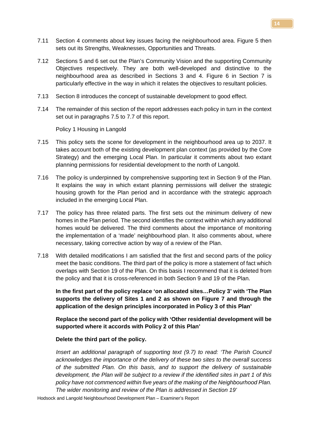- 7.11 Section 4 comments about key issues facing the neighbourhood area. Figure 5 then sets out its Strengths, Weaknesses, Opportunities and Threats.
- 7.12 Sections 5 and 6 set out the Plan's Community Vision and the supporting Community Objectives respectively. They are both well-developed and distinctive to the neighbourhood area as described in Sections 3 and 4. Figure 6 in Section 7 is particularly effective in the way in which it relates the objectives to resultant policies.
- 7.13 Section 8 introduces the concept of sustainable development to good effect.
- 7.14 The remainder of this section of the report addresses each policy in turn in the context set out in paragraphs 7.5 to 7.7 of this report.

Policy 1 Housing in Langold

- 7.15 This policy sets the scene for development in the neighbourhood area up to 2037. It takes account both of the existing development plan context (as provided by the Core Strategy) and the emerging Local Plan. In particular it comments about two extant planning permissions for residential development to the north of Langold.
- 7.16 The policy is underpinned by comprehensive supporting text in Section 9 of the Plan. It explains the way in which extant planning permissions will deliver the strategic housing growth for the Plan period and in accordance with the strategic approach included in the emerging Local Plan.
- 7.17 The policy has three related parts. The first sets out the minimum delivery of new homes in the Plan period. The second identifies the context within which any additional homes would be delivered. The third comments about the importance of monitoring the implementation of a 'made' neighbourhood plan. It also comments about, where necessary, taking corrective action by way of a review of the Plan.
- 7.18 With detailed modifications I am satisfied that the first and second parts of the policy meet the basic conditions. The third part of the policy is more a statement of fact which overlaps with Section 19 of the Plan. On this basis I recommend that it is deleted from the policy and that it is cross-referenced in both Section 9 and 19 of the Plan.

**In the first part of the policy replace 'on allocated sites…Policy 3' with 'The Plan supports the delivery of Sites 1 and 2 as shown on Figure 7 and through the application of the design principles incorporated in Policy 3 of this Plan'**

**Replace the second part of the policy with 'Other residential development will be supported where it accords with Policy 2 of this Plan'**

#### **Delete the third part of the policy.**

*Insert an additional paragraph of supporting text (9.7) to read: 'The Parish Council acknowledges the importance of the delivery of these two sites to the overall success of the submitted Plan. On this basis, and to support the delivery of sustainable development, the Plan will be subject to a review if the identified sites in part 1 of this policy have not commenced within five years of the making of the Neighbourhood Plan. The wider monitoring and review of the Plan is addressed in Section 19'*

Hodsock and Langold Neighbourhood Development Plan – Examiner's Report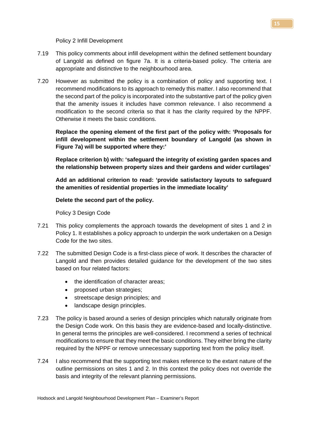Policy 2 Infill Development

- 7.19 This policy comments about infill development within the defined settlement boundary of Langold as defined on figure 7a. It is a criteria-based policy. The criteria are appropriate and distinctive to the neighbourhood area.
- 7.20 However as submitted the policy is a combination of policy and supporting text. I recommend modifications to its approach to remedy this matter. I also recommend that the second part of the policy is incorporated into the substantive part of the policy given that the amenity issues it includes have common relevance. I also recommend a modification to the second criteria so that it has the clarity required by the NPPF. Otherwise it meets the basic conditions.

**Replace the opening element of the first part of the policy with: 'Proposals for infill development within the settlement boundary of Langold (as shown in Figure 7a) will be supported where they:'**

**Replace criterion b) with: 'safeguard the integrity of existing garden spaces and the relationship between property sizes and their gardens and wider curtilages'**

**Add an additional criterion to read: 'provide satisfactory layouts to safeguard the amenities of residential properties in the immediate locality'**

## **Delete the second part of the policy.**

Policy 3 Design Code

- 7.21 This policy complements the approach towards the development of sites 1 and 2 in Policy 1. It establishes a policy approach to underpin the work undertaken on a Design Code for the two sites.
- 7.22 The submitted Design Code is a first-class piece of work. It describes the character of Langold and then provides detailed guidance for the development of the two sites based on four related factors:
	- the identification of character areas:
	- proposed urban strategies;
	- streetscape design principles; and
	- landscape design principles.
- 7.23 The policy is based around a series of design principles which naturally originate from the Design Code work. On this basis they are evidence-based and locally-distinctive. In general terms the principles are well-considered. I recommend a series of technical modifications to ensure that they meet the basic conditions. They either bring the clarity required by the NPPF or remove unnecessary supporting text from the policy itself.
- 7.24 I also recommend that the supporting text makes reference to the extant nature of the outline permissions on sites 1 and 2. In this context the policy does not override the basis and integrity of the relevant planning permissions.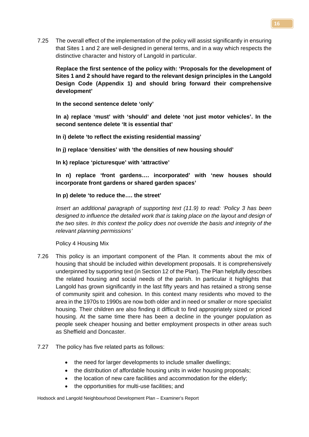7.25 The overall effect of the implementation of the policy will assist significantly in ensuring that Sites 1 and 2 are well-designed in general terms, and in a way which respects the distinctive character and history of Langold in particular.

**Replace the first sentence of the policy with: 'Proposals for the development of Sites 1 and 2 should have regard to the relevant design principles in the Langold Design Code (Appendix 1) and should bring forward their comprehensive development'**

**In the second sentence delete 'only'**

**In a) replace 'must' with 'should' and delete 'not just motor vehicles'. In the second sentence delete 'It is essential that'**

**In i) delete 'to reflect the existing residential massing'**

**In j) replace 'densities' with 'the densities of new housing should'**

**In k) replace 'picturesque' with 'attractive'**

**In n) replace 'front gardens…. incorporated' with 'new houses should incorporate front gardens or shared garden spaces'**

#### **In p) delete 'to reduce the…. the street'**

*Insert an additional paragraph of supporting text (11.9) to read: 'Policy 3 has been designed to influence the detailed work that is taking place on the layout and design of the two sites. In this context the policy does not override the basis and integrity of the relevant planning permissions'*

Policy 4 Housing Mix

- 7.26 This policy is an important component of the Plan. It comments about the mix of housing that should be included within development proposals. It is comprehensively underpinned by supporting text (in Section 12 of the Plan). The Plan helpfully describes the related housing and social needs of the parish. In particular it highlights that Langold has grown significantly in the last fifty years and has retained a strong sense of community spirit and cohesion. In this context many residents who moved to the area in the 1970s to 1990s are now both older and in need or smaller or more specialist housing. Their children are also finding it difficult to find appropriately sized or priced housing. At the same time there has been a decline in the younger population as people seek cheaper housing and better employment prospects in other areas such as Sheffield and Doncaster.
- 7.27 The policy has five related parts as follows:
	- the need for larger developments to include smaller dwellings:
	- the distribution of affordable housing units in wider housing proposals;
	- the location of new care facilities and accommodation for the elderly;
	- the opportunities for multi-use facilities; and

Hodsock and Langold Neighbourhood Development Plan – Examiner's Report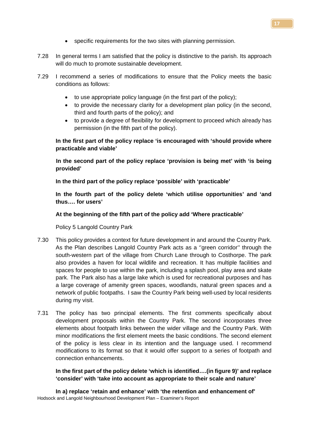- specific requirements for the two sites with planning permission.
- 7.28 In general terms I am satisfied that the policy is distinctive to the parish. Its approach will do much to promote sustainable development.
- 7.29 I recommend a series of modifications to ensure that the Policy meets the basic conditions as follows:
	- to use appropriate policy language (in the first part of the policy);
	- to provide the necessary clarity for a development plan policy (in the second, third and fourth parts of the policy); and
	- to provide a degree of flexibility for development to proceed which already has permission (in the fifth part of the policy).

# **In the first part of the policy replace 'is encouraged with 'should provide where practicable and viable'**

**In the second part of the policy replace 'provision is being met' with 'is being provided'**

**In the third part of the policy replace 'possible' with 'practicable'**

**In the fourth part of the policy delete 'which utilise opportunities' and 'and thus…. for users'**

# **At the beginning of the fifth part of the policy add 'Where practicable'**

Policy 5 Langold Country Park

- 7.30 This policy provides a context for future development in and around the Country Park. As the Plan describes Langold Country Park acts as a ''green corridor'' through the south-western part of the village from Church Lane through to Costhorpe. The park also provides a haven for local wildlife and recreation. It has multiple facilities and spaces for people to use within the park, including a splash pool, play area and skate park. The Park also has a large lake which is used for recreational purposes and has a large coverage of amenity green spaces, woodlands, natural green spaces and a network of public footpaths. I saw the Country Park being well-used by local residents during my visit.
- 7.31 The policy has two principal elements. The first comments specifically about development proposals within the Country Park. The second incorporates three elements about footpath links between the wider village and the Country Park. With minor modifications the first element meets the basic conditions. The second element of the policy is less clear in its intention and the language used. I recommend modifications to its format so that it would offer support to a series of footpath and connection enhancements.

# **In the first part of the policy delete 'which is identified….(in figure 9)' and replace 'consider' with 'take into account as appropriate to their scale and nature'**

Hodsock and Langold Neighbourhood Development Plan – Examiner's Report **In a) replace 'retain and enhance' with 'the retention and enhancement of'**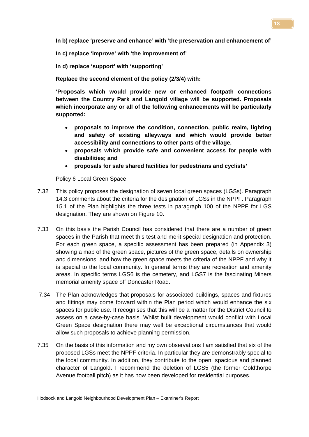**In b) replace 'preserve and enhance' with 'the preservation and enhancement of'**

**In c) replace 'improve' with 'the improvement of'**

**In d) replace 'support' with 'supporting'**

**Replace the second element of the policy (2/3/4) with:**

**'Proposals which would provide new or enhanced footpath connections between the Country Park and Langold village will be supported. Proposals which incorporate any or all of the following enhancements will be particularly supported:**

- **proposals to improve the condition, connection, public realm, lighting and safety of existing alleyways and which would provide better accessibility and connections to other parts of the village.**
- **proposals which provide safe and convenient access for people with disabilities; and**
- **proposals for safe shared facilities for pedestrians and cyclists'**

Policy 6 Local Green Space

- 7.32 This policy proposes the designation of seven local green spaces (LGSs). Paragraph 14.3 comments about the criteria for the designation of LGSs in the NPPF. Paragraph 15.1 of the Plan highlights the three tests in paragraph 100 of the NPPF for LGS designation. They are shown on Figure 10.
- 7.33 On this basis the Parish Council has considered that there are a number of green spaces in the Parish that meet this test and merit special designation and protection. For each green space, a specific assessment has been prepared (in Appendix 3) showing a map of the green space, pictures of the green space, details on ownership and dimensions, and how the green space meets the criteria of the NPPF and why it is special to the local community. In general terms they are recreation and amenity areas. In specific terms LGS6 is the cemetery, and LGS7 is the fascinating Miners memorial amenity space off Doncaster Road.
- 7.34 The Plan acknowledges that proposals for associated buildings, spaces and fixtures and fittings may come forward within the Plan period which would enhance the six spaces for public use. It recognises that this will be a matter for the District Council to assess on a case-by-case basis. Whilst built development would conflict with Local Green Space designation there may well be exceptional circumstances that would allow such proposals to achieve planning permission.
- 7.35 On the basis of this information and my own observations I am satisfied that six of the proposed LGSs meet the NPPF criteria. In particular they are demonstrably special to the local community. In addition, they contribute to the open, spacious and planned character of Langold. I recommend the deletion of LGS5 (the former Goldthorpe Avenue football pitch) as it has now been developed for residential purposes.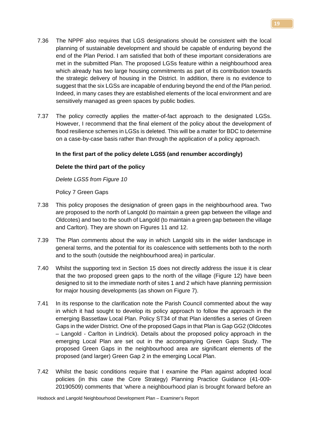- 7.36 The NPPF also requires that LGS designations should be consistent with the local planning of sustainable development and should be capable of enduring beyond the end of the Plan Period. I am satisfied that both of these important considerations are met in the submitted Plan. The proposed LGSs feature within a neighbourhood area which already has two large housing commitments as part of its contribution towards the strategic delivery of housing in the District. In addition, there is no evidence to suggest that the six LGSs are incapable of enduring beyond the end of the Plan period. Indeed, in many cases they are established elements of the local environment and are sensitively managed as green spaces by public bodies.
- 7.37 The policy correctly applies the matter-of-fact approach to the designated LGSs. However, I recommend that the final element of the policy about the development of flood resilience schemes in LGSs is deleted. This will be a matter for BDC to determine on a case-by-case basis rather than through the application of a policy approach.

## **In the first part of the policy delete LGS5 (and renumber accordingly)**

## **Delete the third part of the policy**

*Delete LGS5 from Figure 10*

Policy 7 Green Gaps

- 7.38 This policy proposes the designation of green gaps in the neighbourhood area. Two are proposed to the north of Langold (to maintain a green gap between the village and Oldcotes) and two to the south of Langold (to maintain a green gap between the village and Carlton). They are shown on Figures 11 and 12.
- 7.39 The Plan comments about the way in which Langold sits in the wider landscape in general terms, and the potential for its coalescence with settlements both to the north and to the south (outside the neighbourhood area) in particular.
- 7.40 Whilst the supporting text in Section 15 does not directly address the issue it is clear that the two proposed green gaps to the north of the village (Figure 12) have been designed to sit to the immediate north of sites 1 and 2 which have planning permission for major housing developments (as shown on Figure 7).
- 7.41 In its response to the clarification note the Parish Council commented about the way in which it had sought to develop its policy approach to follow the approach in the emerging Bassetlaw Local Plan. Policy ST34 of that Plan identifies a series of Green Gaps in the wider District. One of the proposed Gaps in that Plan is Gap GG2 (Oldcotes – Langold - Carlton in Lindrick). Details about the proposed policy approach in the emerging Local Plan are set out in the accompanying Green Gaps Study. The proposed Green Gaps in the neighbourhood area are significant elements of the proposed (and larger) Green Gap 2 in the emerging Local Plan.
- 7.42 Whilst the basic conditions require that I examine the Plan against adopted local policies (in this case the Core Strategy) Planning Practice Guidance (41-009- 20190509) comments that 'where a neighbourhood plan is brought forward before an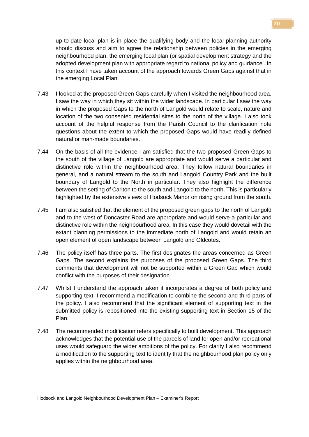up-to-date local plan is in place the qualifying body and the local planning authority should discuss and aim to agree the relationship between policies in the emerging neighbourhood plan, the emerging local plan (or spatial development strategy and the adopted development plan with appropriate regard to national policy and guidance'. In this context I have taken account of the approach towards Green Gaps against that in the emerging Local Plan.

- 7.43 I looked at the proposed Green Gaps carefully when I visited the neighbourhood area. I saw the way in which they sit within the wider landscape. In particular I saw the way in which the proposed Gaps to the north of Langold would relate to scale, nature and location of the two consented residential sites to the north of the village. I also took account of the helpful response from the Parish Council to the clarification note questions about the extent to which the proposed Gaps would have readily defined natural or man-made boundaries.
- 7.44 On the basis of all the evidence I am satisfied that the two proposed Green Gaps to the south of the village of Langold are appropriate and would serve a particular and distinctive role within the neighbourhood area. They follow natural boundaries in general, and a natural stream to the south and Langold Country Park and the built boundary of Langold to the North in particular. They also highlight the difference between the setting of Carlton to the south and Langold to the north. This is particularly highlighted by the extensive views of Hodsock Manor on rising ground from the south.
- 7.45 I am also satisfied that the element of the proposed green gaps to the north of Langold and to the west of Doncaster Road are appropriate and would serve a particular and distinctive role within the neighbourhood area. In this case they would dovetail with the extant planning permissions to the immediate north of Langold and would retain an open element of open landscape between Langold and Oldcotes.
- 7.46 The policy itself has three parts. The first designates the areas concerned as Green Gaps. The second explains the purposes of the proposed Green Gaps. The third comments that development will not be supported within a Green Gap which would conflict with the purposes of their designation.
- 7.47 Whilst I understand the approach taken it incorporates a degree of both policy and supporting text. I recommend a modification to combine the second and third parts of the policy. I also recommend that the significant element of supporting text in the submitted policy is repositioned into the existing supporting text in Section 15 of the Plan.
- 7.48 The recommended modification refers specifically to built development. This approach acknowledges that the potential use of the parcels of land for open and/or recreational uses would safeguard the wider ambitions of the policy. For clarity I also recommend a modification to the supporting text to identify that the neighbourhood plan policy only applies within the neighbourhood area.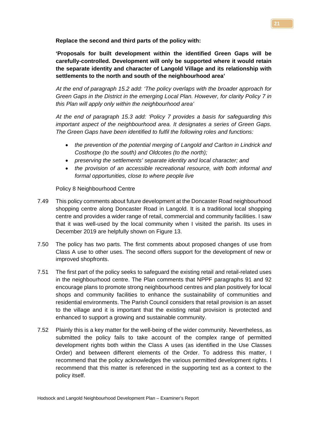**Replace the second and third parts of the policy with:**

**'Proposals for built development within the identified Green Gaps will be carefully-controlled. Development will only be supported where it would retain the separate identity and character of Langold Village and its relationship with settlements to the north and south of the neighbourhood area'**

*At the end of paragraph 15.2 add: 'The policy overlaps with the broader approach for Green Gaps in the District in the emerging Local Plan. However, for clarity Policy 7 in this Plan will apply only within the neighbourhood area'*

*At the end of paragraph 15.3 add: 'Policy 7 provides a basis for safeguarding this important aspect of the neighbourhood area. It designates a series of Green Gaps. The Green Gaps have been identified to fulfil the following roles and functions:* 

- *the prevention of the potential merging of Langold and Carlton in Lindrick and Costhorpe (to the south) and Oldcotes (to the north);*
- *preserving the settlements' separate identity and local character; and*
- *the provision of an accessible recreational resource, with both informal and formal opportunities, close to where people live*

Policy 8 Neighbourhood Centre

- 7.49 This policy comments about future development at the Doncaster Road neighbourhood shopping centre along Doncaster Road in Langold. It is a traditional local shopping centre and provides a wider range of retail, commercial and community facilities. I saw that it was well-used by the local community when I visited the parish. Its uses in December 2019 are helpfully shown on Figure 13.
- 7.50 The policy has two parts. The first comments about proposed changes of use from Class A use to other uses. The second offers support for the development of new or improved shopfronts.
- 7.51 The first part of the policy seeks to safeguard the existing retail and retail-related uses in the neighbourhood centre. The Plan comments that NPPF paragraphs 91 and 92 encourage plans to promote strong neighbourhood centres and plan positively for local shops and community facilities to enhance the sustainability of communities and residential environments. The Parish Council considers that retail provision is an asset to the village and it is important that the existing retail provision is protected and enhanced to support a growing and sustainable community.
- 7.52 Plainly this is a key matter for the well-being of the wider community. Nevertheless, as submitted the policy fails to take account of the complex range of permitted development rights both within the Class A uses (as identified in the Use Classes Order) and between different elements of the Order. To address this matter, I recommend that the policy acknowledges the various permitted development rights. I recommend that this matter is referenced in the supporting text as a context to the policy itself.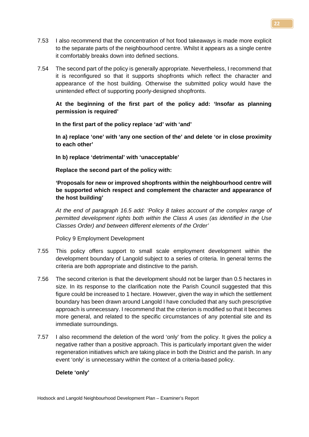- 7.53 I also recommend that the concentration of hot food takeaways is made more explicit to the separate parts of the neighbourhood centre. Whilst it appears as a single centre it comfortably breaks down into defined sections.
- 7.54 The second part of the policy is generally appropriate. Nevertheless, I recommend that it is reconfigured so that it supports shopfronts which reflect the character and appearance of the host building. Otherwise the submitted policy would have the unintended effect of supporting poorly-designed shopfronts.

**At the beginning of the first part of the policy add: 'Insofar as planning permission is required'**

**In the first part of the policy replace 'ad' with 'and'**

**In a) replace 'one' with 'any one section of the' and delete 'or in close proximity to each other'**

**In b) replace 'detrimental' with 'unacceptable'**

**Replace the second part of the policy with:**

**'Proposals for new or improved shopfronts within the neighbourhood centre will be supported which respect and complement the character and appearance of the host building'**

*At the end of paragraph 16.5 add: 'Policy 8 takes account of the complex range of permitted development rights both within the Class A uses (as identified in the Use Classes Order) and between different elements of the Order'*

Policy 9 Employment Development

- 7.55 This policy offers support to small scale employment development within the development boundary of Langold subject to a series of criteria. In general terms the criteria are both appropriate and distinctive to the parish.
- 7.56 The second criterion is that the development should not be larger than 0.5 hectares in size. In its response to the clarification note the Parish Council suggested that this figure could be increased to 1 hectare. However, given the way in which the settlement boundary has been drawn around Langold I have concluded that any such prescriptive approach is unnecessary. I recommend that the criterion is modified so that it becomes more general, and related to the specific circumstances of any potential site and its immediate surroundings.
- 7.57 I also recommend the deletion of the word 'only' from the policy. It gives the policy a negative rather than a positive approach. This is particularly important given the wider regeneration initiatives which are taking place in both the District and the parish. In any event 'only' is unnecessary within the context of a criteria-based policy.

# **Delete 'only'**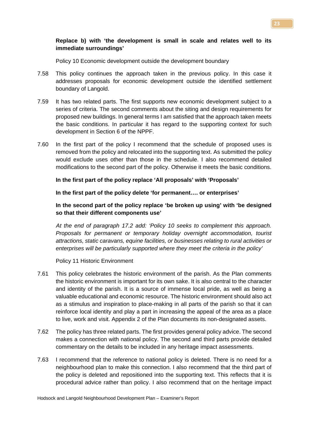# **Replace b) with 'the development is small in scale and relates well to its immediate surroundings'**

Policy 10 Economic development outside the development boundary

- 7.58 This policy continues the approach taken in the previous policy. In this case it addresses proposals for economic development outside the identified settlement boundary of Langold.
- 7.59 It has two related parts. The first supports new economic development subject to a series of criteria. The second comments about the siting and design requirements for proposed new buildings. In general terms I am satisfied that the approach taken meets the basic conditions. In particular it has regard to the supporting context for such development in Section 6 of the NPPF.
- 7.60 In the first part of the policy I recommend that the schedule of proposed uses is removed from the policy and relocated into the supporting text. As submitted the policy would exclude uses other than those in the schedule. I also recommend detailed modifications to the second part of the policy. Otherwise it meets the basic conditions.

**In the first part of the policy replace 'All proposals' with 'Proposals'**

**In the first part of the policy delete 'for permanent…. or enterprises'**

**In the second part of the policy replace 'be broken up using' with 'be designed so that their different components use'**

*At the end of paragraph 17.2 add: 'Policy 10 seeks to complement this approach. Proposals for permanent or temporary holiday overnight accommodation, tourist attractions, static caravans, equine facilities, or businesses relating to rural activities or enterprises will be particularly supported where they meet the criteria in the policy'*

Policy 11 Historic Environment

- 7.61 This policy celebrates the historic environment of the parish. As the Plan comments the historic environment is important for its own sake. It is also central to the character and identity of the parish. It is a source of immense local pride, as well as being a valuable educational and economic resource. The historic environment should also act as a stimulus and inspiration to place-making in all parts of the parish so that it can reinforce local identity and play a part in increasing the appeal of the area as a place to live, work and visit. Appendix 2 of the Plan documents its non-designated assets.
- 7.62 The policy has three related parts. The first provides general policy advice. The second makes a connection with national policy. The second and third parts provide detailed commentary on the details to be included in any heritage impact assessments.
- 7.63 I recommend that the reference to national policy is deleted. There is no need for a neighbourhood plan to make this connection. I also recommend that the third part of the policy is deleted and repositioned into the supporting text. This reflects that it is procedural advice rather than policy. I also recommend that on the heritage impact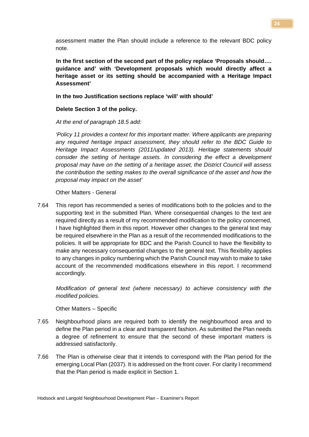assessment matter the Plan should include a reference to the relevant BDC policy note.

**In the first section of the second part of the policy replace 'Proposals should…. guidance and' with 'Development proposals which would directly affect a heritage asset or its setting should be accompanied with a Heritage Impact Assessment'**

## **In the two Justification sections replace 'will' with should'**

## **Delete Section 3 of the policy.**

*At the end of paragraph 18.5 add:*

*'Policy 11 provides a context for this important matter. Where applicants are preparing any required heritage impact assessment, they should refer to the BDC Guide to Heritage Impact Assessments (2011/updated 2013). Heritage statements should consider the setting of heritage assets. In considering the effect a development proposal may have on the setting of a heritage asset, the District Council will assess the contribution the setting makes to the overall significance of the asset and how the proposal may impact on the asset'*

Other Matters - General

7.64 This report has recommended a series of modifications both to the policies and to the supporting text in the submitted Plan. Where consequential changes to the text are required directly as a result of my recommended modification to the policy concerned, I have highlighted them in this report. However other changes to the general text may be required elsewhere in the Plan as a result of the recommended modifications to the policies. It will be appropriate for BDC and the Parish Council to have the flexibility to make any necessary consequential changes to the general text. This flexibility applies to any changes in policy numbering which the Parish Council may wish to make to take account of the recommended modifications elsewhere in this report. I recommend accordingly.

*Modification of general text (where necessary) to achieve consistency with the modified policies.*

Other Matters – Specific

- 7.65 Neighbourhood plans are required both to identify the neighbourhood area and to define the Plan period in a clear and transparent fashion. As submitted the Plan needs a degree of refinement to ensure that the second of these important matters is addressed satisfactorily.
- 7.66 The Plan is otherwise clear that it intends to correspond with the Plan period for the emerging Local Plan (2037). It is addressed on the front cover. For clarity I recommend that the Plan period is made explicit in Section 1.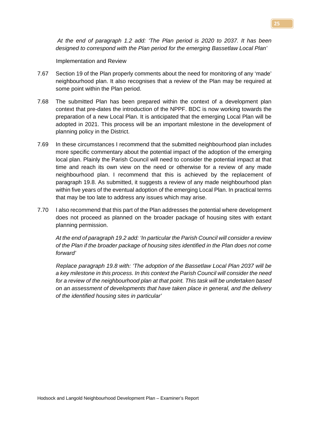some point within the Plan period.

neighbourhood plan. It also recognises that a review of the Plan may be required at

7.67 Section 19 of the Plan properly comments about the need for monitoring of any 'made'

Implementation and Review

*At the end of paragraph 1.2 add: 'The Plan period is 2020 to 2037. It has been designed to correspond with the Plan period for the emerging Bassetlaw Local Plan'*

- 7.68 The submitted Plan has been prepared within the context of a development plan context that pre-dates the introduction of the NPPF. BDC is now working towards the preparation of a new Local Plan. It is anticipated that the emerging Local Plan will be adopted in 2021. This process will be an important milestone in the development of planning policy in the District.
- 7.69 In these circumstances I recommend that the submitted neighbourhood plan includes more specific commentary about the potential impact of the adoption of the emerging local plan. Plainly the Parish Council will need to consider the potential impact at that time and reach its own view on the need or otherwise for a review of any made neighbourhood plan. I recommend that this is achieved by the replacement of paragraph 19.8. As submitted, it suggests a review of any made neighbourhood plan within five years of the eventual adoption of the emerging Local Plan. In practical terms that may be too late to address any issues which may arise.
- 7.70 I also recommend that this part of the Plan addresses the potential where development does not proceed as planned on the broader package of housing sites with extant planning permission.

*At the end of paragraph 19.2 add: 'In particular the Parish Council will consider a review of the Plan if the broader package of housing sites identified in the Plan does not come forward'*

*Replace paragraph 19.8 with: 'The adoption of the Bassetlaw Local Plan 2037 will be a key milestone in this process. In this context the Parish Council will consider the need for a review of the neighbourhood plan at that point. This task will be undertaken based on an assessment of developments that have taken place in general, and the delivery of the identified housing sites in particular'*